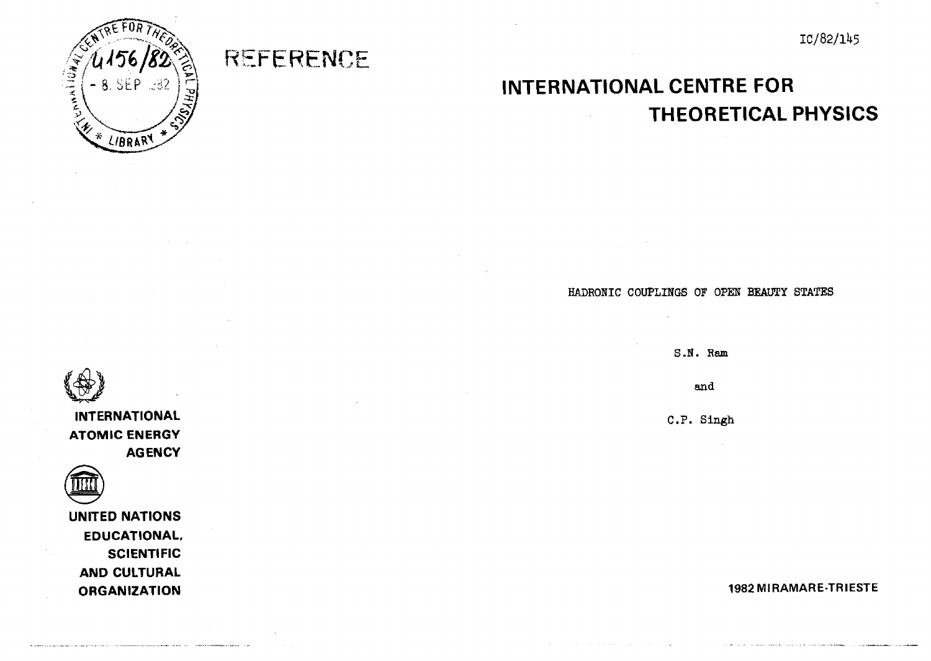

# REFERENCE

## INTERNATIONAL CENTRE FOR **THEORETICAL PHYSICS**

HADRONIC COUPLINGS OF OPEN BEAUTY STATES

S.N. Ram

and

C.P. Singh

1982 MIRAMARE-TRIESTE

the contract and contract the construction contract and

**INTERNATIONAL ATOMIC ENERGY AGENCY** 



**UNITED NATIONS EDUCATIONAL, SCIENTIFIC** AND CULTURAL **ORGANIZATION**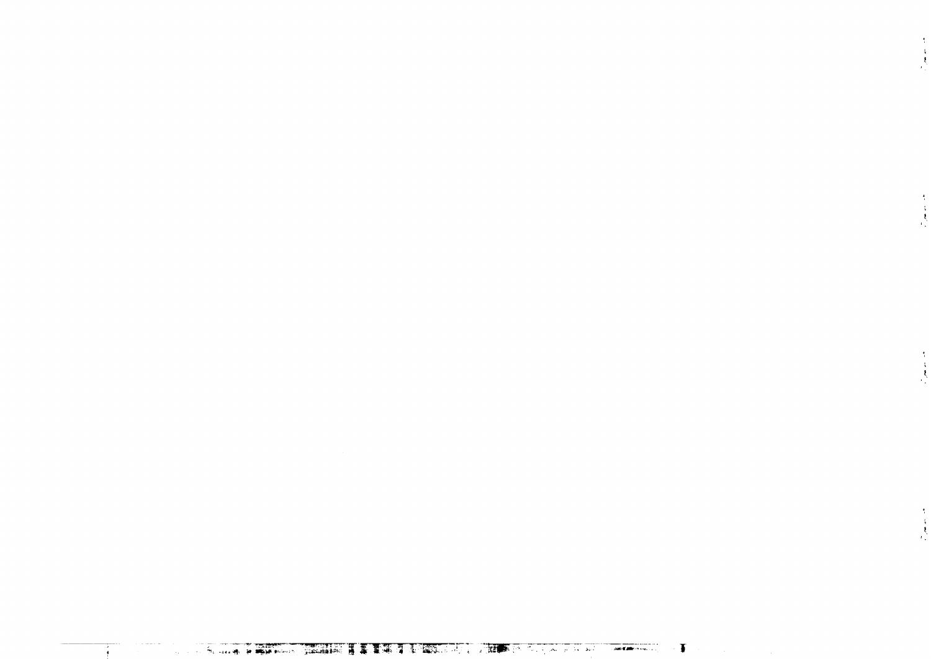<u>tion and the second second the second second second second second second second second second second second second</u>

不可靠的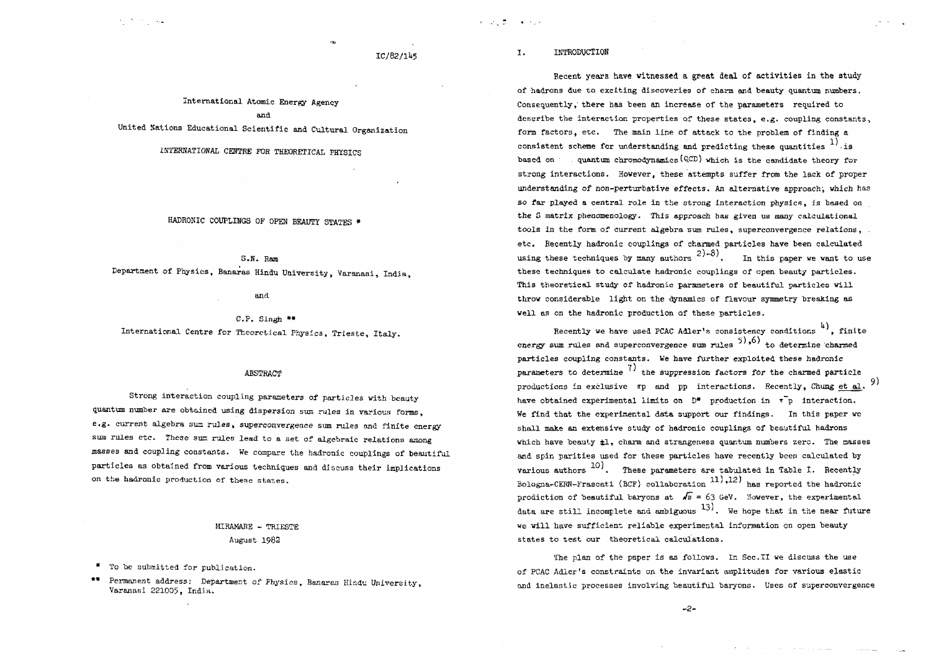#### IC/82/1U5

International Atomic Energy Agency and United nations Educational Scientific and Cultural Organisation

INTERNATIONAL CENTRE FOR THEORETICAL PHYSICS

HADRONIC COUPLINGS OF OPEN BEAUTY STATES \*

S.H. Ram Department of Physics, Banaras Hindu University, Varanasi, India,

and

C.P. Singh •• International Centre for Theoretical Physics, Trieste, Italy.

#### ABSTRACT

Strong interaction coupling parameters of particles with beauty quantum number are obtained using dispersion sum rules in various forms, e.g. current algebra sum rules, superconvergenee sum rules and finite energy sum rules etc. These sum rules lead to a set of algebraic relations among masses and coupling constants. We compare the hadronic couplings of beautiful particles as obtained from various techniques and discuss their implications on the ha&ronic production of these states.

### MIRAMAEE - TRIESTE August 1982

- \* Tg be submitted for publication.
- •\* Permanent address: Department of Physics, Banaras Hindu University, Varanasi 221005, India.

#### I. INTRODUCTION

Recent years, have witnessed, a great deal of activities in the study of hadrons due to exciting discoveries of charm and beauty quantum numbers. Consequently,' there has been an increase of the parameters required to describe the interaction properties of these states, e.g. coupling constants, form factors, etc. The main line of attack to the problem of finding a consistent scheme for understanding and predicting these quantities  $1$ , is based on quantum chromodynamics (QCD) which is the candidate theory for strong interactions. However, these attempts suffer from the lack, of proper understanding of non-perturbative effects. An alternative approach; which has so far played a central role in the strong Interaction physics, is based on the E matrix phenomenology. This approach has given us many calculational tools in the form of current algebra sum rules, superconvergence relations, . etc. Recently hadronic couplings of charmed particles have been calculated using these techniques by many authors  $2)+8$ . In this paper we want to use these techniques to calculate hadronic couplings of open beauty particles. This theoretical study of hadronic parameters of beautiful particles will throw considerable light on the dynamics of flavour symmetry breaking as well as on the hadronic production of these particles.

Recently we have used PCAC Adler's consistency conditions <sup>4</sup>), finite energy sum rules and superconvergence sum rules ''' to determine charmed productions in exclusive  $\pi$ p and pp interactions. Recently, Chung <u>et al</u>, <sup>9)</sup> particles coupling constants. We have further exploited these hadronic parameters to determine  $\begin{pmatrix} 7 \end{pmatrix}$  the suppression factors for the charmed particle have obtained experimental limits on  $D^*$  production in  $\bar{\mathbf{r}}$  interaction. We find that the experimental data support our findings. In this paper we shall make an extensive study of hadronic couplings of beautiful hadrons which have beauty ±1, charm and strangeness quantum numbers zero. The masses and spin parities used for these particles have recently been calculated by various authors  $10$ . These parameters are tabulated in Table I. Recently Bologna-CERN-Frascati (BCF) collaboration  $^{11}$ , 12) has reported the hadronic prodiction of beautiful baryons at  $\sqrt{s}$  = 63 GeV. However, the experimental data are still incomplete and ambiguous  $13$ . We hope that in the near future we will have sufficient reliable experimental information on open beauty states to test our theoretical calculations.

The plan of the paper is as follows. In Sec.II we discuss the use of PCAC Adler's constraints on the invariant amplitudes for various elastic and inelastic processes involving beautiful baryons. Uses of superconvergenee

 $-2-$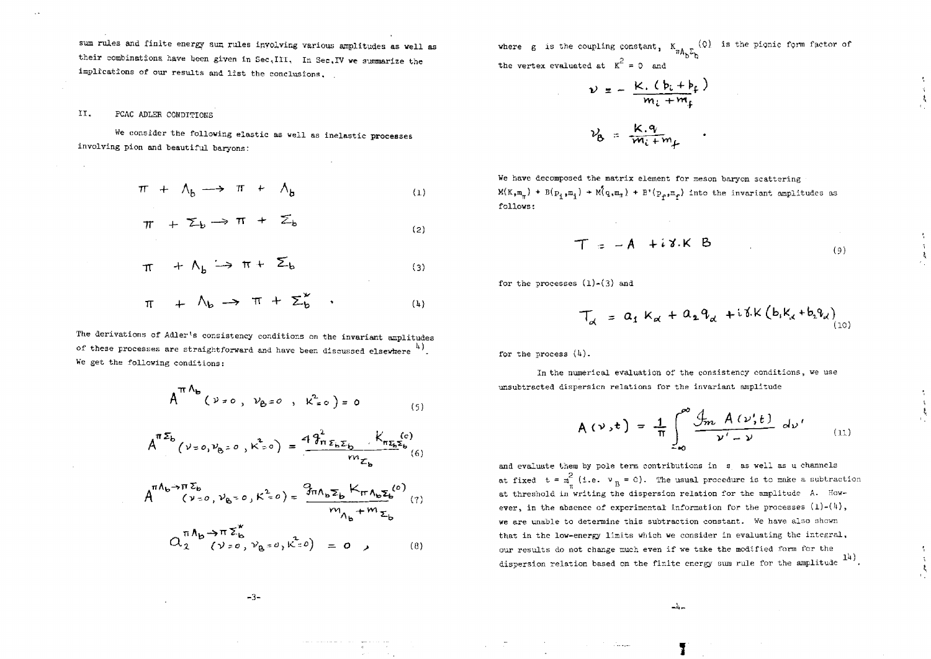sum rules and finite energy sum rules involving various amplitudes as well as their combinations have been given in Sec.III, In Sec.IV we summarize the implications of our results and list the conclusions.

### II, PCAC ADLER CONDITIONS

We consider the following elastic as well as inelastic processes involving pion and beautiful baryons:

$$
\pi + \Lambda_b \longrightarrow \pi + \Lambda_b \tag{1}
$$

$$
\pi + \Sigma_b \to \pi + \Sigma_b \tag{2}
$$

$$
\pi + \Lambda_b \rightarrow \pi + \Sigma_b \tag{3}
$$

$$
\pi + \Lambda_b \to \pi + \Sigma_b^{\mathbf{v}} \quad . \tag{4}
$$

The derivations of Adler's consistency conditions on the invariant amplitudes of these processes are straightforward and have been discussed elsewhere  $\binom{h}{k}$ . We get the following conditions:

$$
A^{\pi \Lambda_b} (\nu \neq 0, \nu_{\theta} = 0, \kappa^2 \neq 0) = 0
$$
 (5)

$$
A^{\pi\Sigma_{b}}(\nu_{z,o},\nu_{B^{z,o}},\kappa_{z,o}^{2})=\frac{4\,\vartheta_{\pi\Sigma_{b}\Sigma_{b}}^{2}}{m_{\Sigma_{b}}}\kappa_{\pi\Sigma_{b}\Sigma_{b}}^{(c)}
$$

$$
A^{\pi\Lambda_{b}\to\pi\Sigma_{b}}(\nu_{\pm o},\nu_{b\pm o},K_{\pm o}^{2})=\frac{3\pi\Lambda_{b}\Sigma_{b}K_{\pi\Lambda_{b}\Sigma_{b}}(0)}{m_{\Lambda_{b}+m_{\Sigma_{b}}}}(7)
$$

$$
Q_{2}^{\pi\Lambda_{b}\to\pi\Sigma_{b}^{*}}(\nu_{\pm o},\nu_{b\pm o},k_{\pm o}^{2})=0 \quad (8)
$$

**- 3 -**

where g is the coupling constant,  $K_{m,k}$  (0) is the pionic form factor of the vertex evaluated at  $K^2 = 0$  and

$$
v = -\frac{k_1(b_i + b_f)}{m_i + m_f}
$$

$$
v_{\beta} = \frac{k_1 q}{m_i + m_f}.
$$

We have decomposed the matrix element for meson baryon scattering  $M(K,m^{\dagger}_{\pi}) + B(p^{\dagger}_{\pi},m^{\dagger}_{\pi}) + M(q,m^{\dagger}_{\pi}) + B^*(p^{\dagger}_{\pi},m^{\dagger}_{\pi})$  into the invariant amplitudes as follows:

$$
T = -A + i \lambda \cdot K \cdot B \tag{9}
$$

for the processes  $(1)-(3)$  and

$$
T_{\alpha} = a_1 K_{\alpha} + a_2 A_{\alpha} + i \delta K (b_1 K_{\alpha} + b_2 A_{\alpha})
$$
 (10)

for the process  $(4)$ .

In the numerical evaluation of the consistency conditions, we use unsubtracted dispersicn relations for the invariant amplitude

$$
A(v,t) = \frac{1}{\pi} \int_{-\infty}^{\infty} \frac{f_m A(v,t)}{v'-v} dv'
$$
 (11)

and evaluate them by pole term contributions in s as well as u channels at fixed t =  $m_{\pi}^{2}$  (i.e.  $v_{B} = 0$ ). The usual procedure is to make a subtraction at threshold in writing the dispersion relation for the amplitude A. However, in the absence of experimental information for the processes  $(1)-(4)$ , we are unable to determine this subtraction constant. We have also shown that in the low-energy limits which we consider in evaluating the integral, our results do not change much even if we take the modified form for the dispersion relation based on the finite energy sum rule for the amplitude  $14$ .

 $-4-$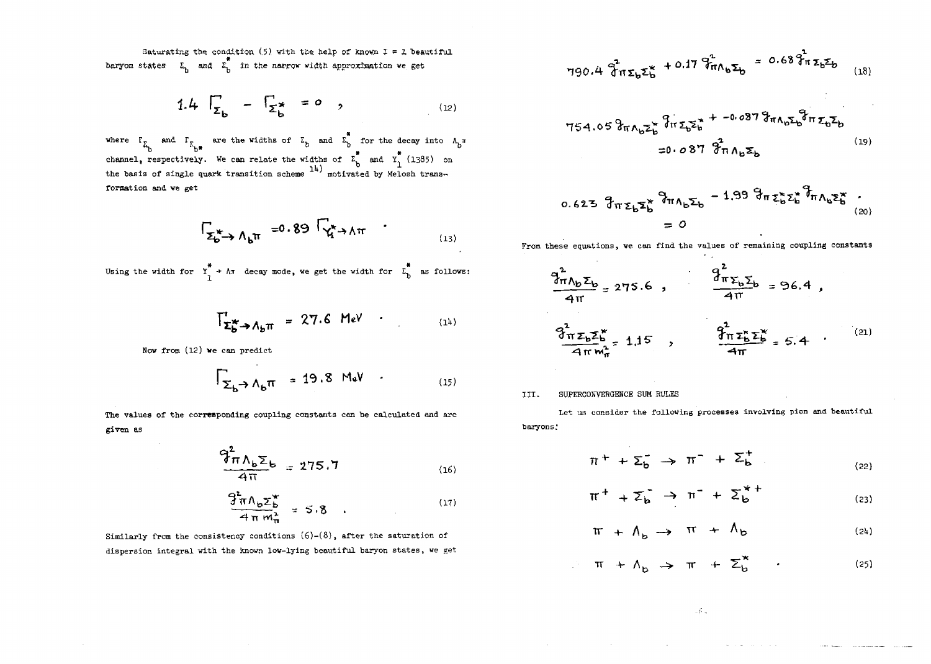Saturating the condition (5) with the help of known  $I = 1$  beautiful baryon states  $\overline{x}^*$  and  $\overline{x}^*$  in the narrow width approximation ve get

$$
1.4 \quad \boxed{\phantom{00000000}}_{\Sigma_b} - \boxed{\phantom{00000000}}_{\Sigma_b^*} = 0 \quad , \tag{12}
$$

where  $\Gamma_{\Gamma}$  and  $\Gamma_{\Gamma}$  are the widths of  $L_{\Gamma}$  and  $\bar{L}_{\Gamma}$  for the decay into  $\Lambda_{\Gamma} \pi$ channel, respectively. We can relate the widths of  $\overline{z}_{h}^{*}$  and  $\overline{Y}_{1}^{*}$  (1385) on lit) formation and vs cat $\frac{1}{N}$ formation and we get

$$
\Gamma_{\Sigma_{b}^{*}\to\Lambda_{b}^{\pi}}=0.89\Gamma_{\Upsilon_{1}^{*}\to\Lambda\pi}
$$
 (13)

Using the width for  $\chi_1^* + \Lambda \pi$  decay mode, we get the width for  $\bar{E}^*$  as follows:

$$
\Gamma_{\Sigma_{b}^{*}\rightarrow\Lambda_{b}\pi} = 27.6 \text{ MeV} \qquad (14)
$$

Now from (12) We can predict

$$
\Gamma_{\Sigma_b \to \Lambda_b \pi} = 19.8 \text{ MeV} \tag{15}
$$

The values of the corresponding coupling constants can he calculated and are given as

$$
\frac{q_{\pi\Lambda_b\Sigma_b}}{4\pi} = 275.7
$$
 (16)

$$
\frac{3^2 \pi \Lambda_b \Sigma_b^*}{4 \pi m_n^2} = 5.8 \tag{17}
$$

Similarly from the consistency conditions  $(6)-(8)$ , after the saturation of dispersion integral with the known low-lying beautiful haryon states, we get

790.4 
$$
β^2 \pi \Sigma_b \Sigma_b^* + 0.17 β^2 \pi \Lambda_b \Sigma_b = 0.68 β^2 \pi \Sigma_b \Sigma_b
$$
 (18)

$$
154.05 \frac{\partial}{\partial n} \Lambda_b z_b^* \frac{\partial}{\partial n} z_b z_b^* + -0.087 \frac{\partial}{\partial n} \Lambda_b z_b \frac{\partial}{\partial n} z_b z_b
$$
\n
$$
= 0.087 \frac{\partial}{\partial n} \Lambda_b z_b
$$
\n(19)

$$
0.623 \frac{7}{3} \pi \Sigma_b \Sigma_b^* \frac{7}{3} \pi \Lambda_b \Sigma_b - 1.99 \frac{7}{3} \pi \Sigma_b^* \Sigma_b^* \frac{7}{3} \pi \Lambda_b \Sigma_b^* \tag{20}
$$

From these equations, we can find the values of remaining coupling constants  $\sim 10$ 

$$
\frac{q_{\pi\lambda_b}^2 \Sigma_b}{4\pi} = 275.6 , \qquad \frac{q_{\pi\Sigma_b \Sigma_b}^2}{4\pi} = 96.4 ,
$$
\n
$$
\frac{q_{\pi\Sigma_b \Sigma_b}^2}{4\pi \omega_{\pi}^2} = 1.15 , \qquad \frac{q_{\pi\Sigma_b \Sigma_b}^2}{4\pi} = 5.4 . \qquad (21)
$$

#### III. SUPERCONVERGENCE SUM RULES

ា

Let us consider the following processes involving pion and beautiful baryons;

$$
\pi^+ + \Sigma_b^- \rightarrow \pi^- + \Sigma_b^+ \tag{22}
$$

$$
\pi^+ + \Sigma_b^- \rightarrow \pi^- + \Sigma_b^{*+} \tag{23}
$$

$$
\pi + \Lambda_b \rightarrow \pi + \Lambda_b \tag{24}
$$

$$
\pi + \Lambda_b \rightarrow \pi + \Sigma_b^{\star} \qquad (25)
$$

 $\mathcal{L}_{\infty}$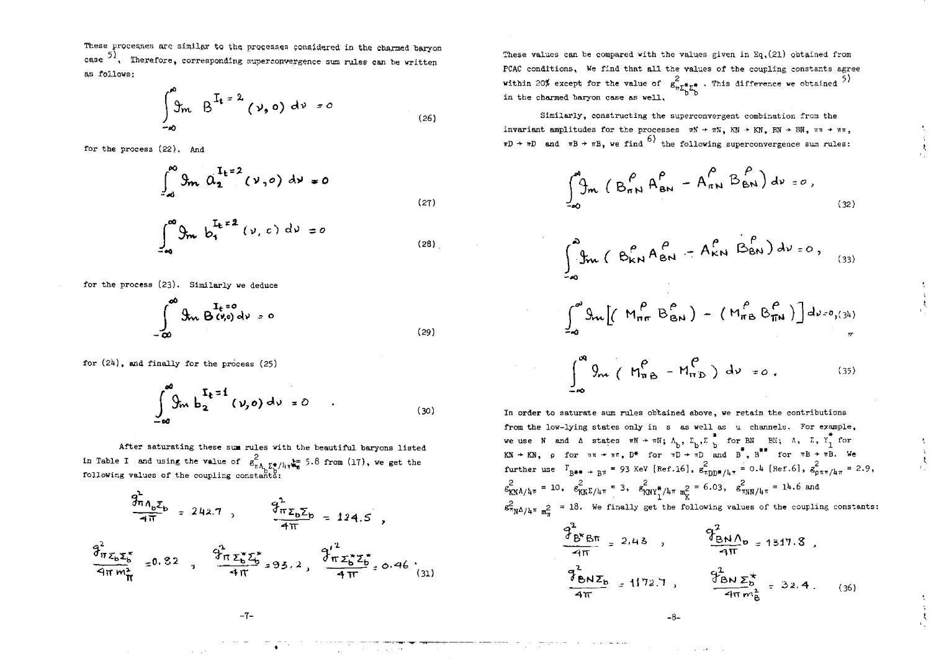These processes are similar to the processes considered in the charmed baryon case  $5$ ). Therefore, corresponding superconvergence sum rules can be written as follows;

$$
\int_{-\infty}^{\infty} \mathfrak{R} \mathfrak{R}^{\mathrm{I}_{t} z/2} \left(\nu, 0\right) d\nu = 0
$$
 (26)

for the process (22). And

$$
\int_{-a}^{\infty} 9m \alpha_2^{I_t=2} (\nu, o) d\nu = 0
$$
 (27)

$$
\int_{-\infty}^{\infty} 9m \, b_1^{\frac{\Gamma_c}{\Gamma}z} \left(\nu, c\right) \, d\nu = o \tag{28}
$$

for the process (23). Similarly we deduce

$$
\int_{-\infty}^{\infty} 9\pi \, B(x,0) \, dx = 0
$$
 (29)

for  $(24)$ , and finally for the process  $(25)$ 

$$
\int_{-\infty}^{\infty} 9m \, b_2^{\Gamma_{\xi}=1} (\nu, o) \, d\nu = 0 \qquad (30)
$$

and a significant

After saturating these sum rules with the beautiful baryons listed in Table I and using the value of  $g^2_{\pi \Lambda_n \Sigma_n^* / l_\pi} \frac{1}{\Psi_n}$  5.8 from (17), we get the following values of the coupling constants

$$
\frac{q_{\pi\Lambda_b}^2 \bar{z}_b}{4\pi} = 242.7, \qquad \frac{q_{\pi\Sigma_b \Sigma_b}^2}{4\pi} = 124.5, \qquad \frac{q_{\pi\Sigma_b \Sigma_b}^2}{4\pi} = 124.5, \qquad \frac{q_{\pi\Sigma_b \Sigma_b}^2}{4\pi} = 0.82, \qquad \frac{q_{\pi\Sigma_b \Sigma_b}^2}{4\pi} = 93.2, \qquad \frac{q_{\pi\Sigma_b \Sigma_b}^2}{4\pi} = 0.46 \tag{31}
$$

These values can be compared with the values given in Eq.(21) obtained from FCAC conditions! We find that all the values of the coupling constants agree within 20% except for the value of  $g_{m\underline{r}^*_{m\underline{r}^*_{m}}}^2$ . This difference we obtained 5)<br>in the charmed baryon case as well. in the charmed baryon case as well.

Similarly, constructing the superconvergent combination from the invariant amplitudes for the processes  $\pi N + \pi N$ , KN  $\rightarrow$  KN, BN  $\rightarrow$  BN,  $\pi\pi \rightarrow \pi\pi$ ,  $\pi$ D +  $\pi$ D and  $\pi$ B +  $\pi$ B, we find  $\stackrel{6}{\sim}$  the following superconvergence sum rules:

$$
\int_{-\infty}^{\rho} \mathfrak{f}_{m} \left( B_{\pi N}^{\rho} A_{\text{BN}}^{\rho} - A_{\pi N}^{\rho} B_{\text{BN}}^{\rho} \right) d\nu = \sigma, \tag{32}
$$

$$
\int_{-\infty}^{\infty} J_{\mathsf{m}}(B_{\mathsf{kn}}^{\rho} A_{\mathsf{en}}^{\rho} - A_{\mathsf{kn}}^{\rho} B_{\mathsf{en}}^{\rho}) d\nu = 0, \quad (33)
$$

$$
\int_{-\infty}^{\infty} \vartheta_{m} \left[ \left( M_{\pi\pi}^{\rho} B_{\beta N}^{\rho} \right) - \left( M_{\pi\beta}^{\rho} B_{\pi N}^{\rho} \right) \right] d\nu_{0,34}
$$

$$
\int_{-\infty}^{\infty} 9_{\mathsf{m}} \left( N_{\mathfrak{m}\beta}^{\rho} - N_{\mathfrak{m}\beta}^{\rho} \right) dv = 0 , \qquad (35)
$$

In order to saturate sum rules obtained above, we retain the contributions from the low-lying states only in s as well as u channels. For example, we use N and  $\Delta$  states  $\pi N \to \pi K$ ;  $\Lambda_{\mu}$ ,  $\Sigma_{\mu}$ ,  $\Sigma_{\mu}$  for BN BN; A,  $\Sigma_{\nu}$  Y<sub>1</sub> for KN  $\rightarrow$  KN,  $\rho$  for  $\pi\pi$   $\rightarrow$   $\pi\pi$ , D\* for  $\pi$ D  $\rightarrow$   $\pi$ D and B , B for  $\pi$ B  $\rightarrow$   $\pi$ B. We further use  $\Gamma_{R^{3\#}}$   $\rightarrow$   $_{RH}$  = 93 KeV [Ref.16],  $g^{2}_{\pi\pi\pi\theta^*/h\pi}$  = 0.4 [Ref.6],  $g^{2}_{0\pi\pi^*/h\pi}$  = 2.9,  $\varepsilon_{\text{KN}}^2 \lambda / \mu \pi = 10$ ,  $\varepsilon_{\text{KN}}^2 \Sigma / \mu \pi = 3$ ,  $\varepsilon_{\text{KNY}_1^*/\mu \pi}^2$   $m_\text{X}^2 = 6.03$ ,  $\varepsilon_{\text{TNN}/\mu \pi}^2 = 14.6$  and  $\frac{m}{m}\frac{2}{\pi}$  = 18. We finally get the following values of the coupling constants:

$$
\frac{q^{2}}{4\pi} = 2.43 , \qquad \frac{q^{2}}{4\pi} = 1517.8 ,
$$
\n
$$
\frac{q^{2}}{4\pi} = 1172.7 , \qquad \frac{q^{2}}{4\pi} = 32.4 . (36)
$$

 $-8-$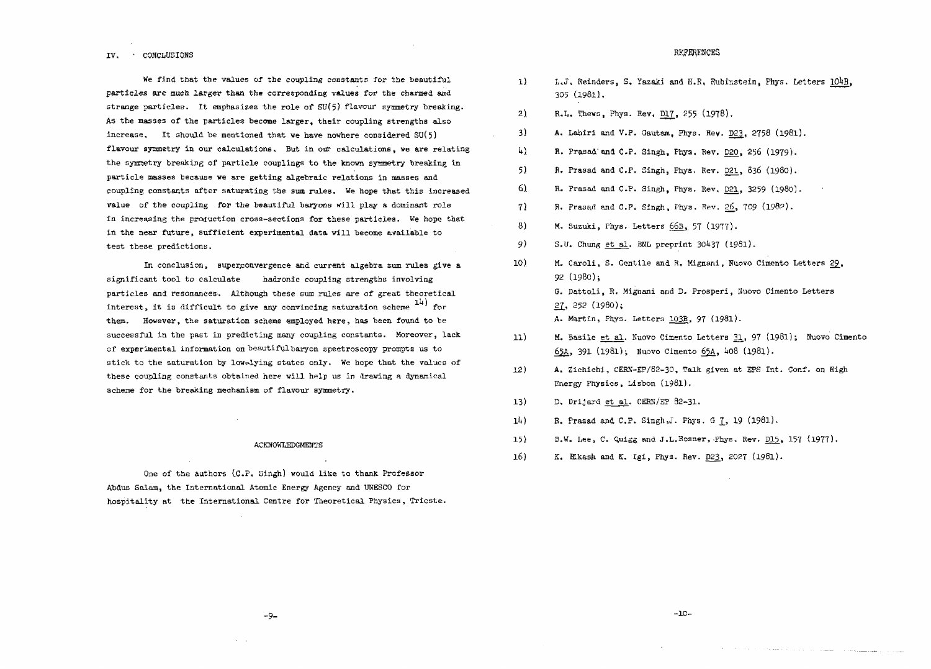IV. CONCLUSIONS REFERENCES

We find that the values of the coupling constants for the beautiful particles are much larger than the corresponding values for the charmed and strange particles. It emphasises the role of SU(5) flavour symmetry breaking. As the masses of the particles become larger, their coupling strengths also increase. It should be mentioned that we have nowhere considered SU(5) flavour symmetry in our calculations. **But** in our calculations, we are relating the symmetry breaking of particle couplings to the known symmetry breaking in particle masses because we are getting algebraic relations in masses and coupling constants after saturating the sum rules. We hope that this Increased value of the coupling **for** the beautiful baryons will play a dominant role in increasing the production cross-sections for these particles. We hope that in the near future, sufficient experimental data will become available to test these predictions.

In conclusion, superconvergence and current algebra sum rules give a significant tool to calculate hadronic coupling strengths involving particles and resonances. Although these sum rules are of great theoretical interest, it is difficult to give any convincing saturation scheme  $14$ ) for them. However, the saturation scheme employed here, has been found to be successful in the past in predicting many coupling constants. Moreover, lack of experimental information on beautifulbaryon speetroscopy prompts us to stick to the saturation by low-lying states only. We hope that the values of these coupling constants obtained here will help us in drawing a dynamical scheme for the breaking mechanism of flavour symmetry.

#### ACKHOWLEDGMEHTS

One of the authors  $(C.P.$  Singh) would like to thank Professor Abdus Salam, the International Atomic Energy Agency and UNESCO for hospitality at the International Centre for Theoretical Physics, Trieste.

- 1) L.J, Reinders, S. Yazaki and H.R, Rubinstein, Phys. Letters 104B, 305 (1981).
- 2). R.L. Thews, Phys. Rev. D17, 255 (1978).
- 3) A. Lahiri and V.P. Gautam, Phys. Rev. D23, 2758 (1981).
- 4) R. Prasad and C.P. Singh, Phys. Rev. D20, 256 (1979).
- 5) R. Prasad and C.P. Singh, Phys. Rev. D21, 836 (1980).
- 6) R. Prasad and C.P. Singh, Phys. Rev. D21, 3259 (1980).
- 7) R. Prasad and C.P. Singh, Phys. Rev. 26, 709 (1982).
- 8) M. Suzuki, Phys. Letters 66B, 57 (1977).
- 9) S.U. Chung et al. BNL preprint 30437 (1981).
- 10) M. Caroli, S. Gentile and R. Mignani, Nuovo Cimento Letters 29\_, 92 (1980)j G. Dattoli, R. Mignani and D. Prosperi, Nuovo Cimento Letters 21, 252 (19S0); A. Martin, Phys. Letters 103B, 97 (l98l).
- 11) M. Basile et al. Nuovo Cimento Letters 31., 97 (l9@l); Nuovo Cimento 65A, 391 (1981); Nuovo Cimento 65A, 408 (1981).
- 12) A. Ziehichi, CERN-EP/82-30, Talk given at EPS Int. Conf. on High Energy Physics, Lisbon (l98l).
- 13) D. Drijard et al. CERN/EP 82-31.
- *ll)* R. Prasad and C.P. Singh.J. Phys. G *]\_,* 19 (l98l).
- 15) B.W. Lee, C. Quigg and J.L.Rosner, Phys. Rev. D15, 157 (1977).
- 16) K. Hikash and K. Igi, Phys. Rev. D23, 2027 (1981).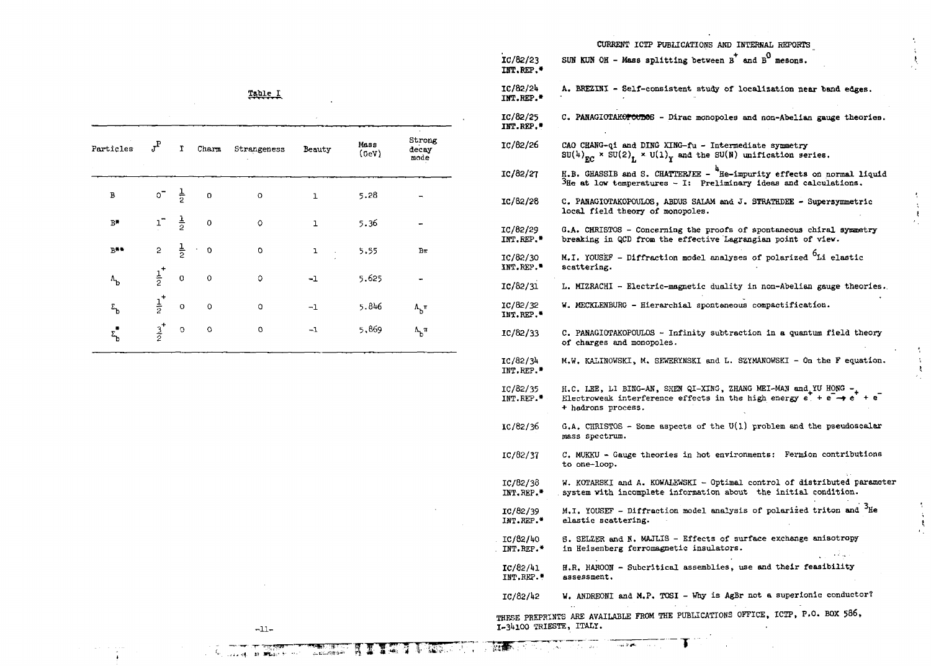|                      |                 |               |          |                               | CURRENT ICTP PUBLICATIONS AND INTERNAL REPORTS |                    |                         |                                   |                                                                                                                                                                                |                      |  |  |  |
|----------------------|-----------------|---------------|----------|-------------------------------|------------------------------------------------|--------------------|-------------------------|-----------------------------------|--------------------------------------------------------------------------------------------------------------------------------------------------------------------------------|----------------------|--|--|--|
|                      |                 |               |          |                               |                                                |                    |                         | IC/82/23<br>INT.REP.*             | SUN KUN OH - Mass splitting between $B^+$ and $B^0$ mesons.                                                                                                                    |                      |  |  |  |
|                      |                 |               |          | Table I                       |                                                |                    |                         | IC/82/24<br>INT.REP.*             | A. BREZINI - Self-consistent study of localization near band edges.                                                                                                            |                      |  |  |  |
|                      |                 |               |          |                               |                                                |                    |                         | IC/82/25<br>INT.REP."             | C. PANAGIOTAKOPOUBOS - Dirac monopoles and non-Abelian gauge theories.                                                                                                         |                      |  |  |  |
| Particles            |                 | T.            | Charm    | Strangeness                   | Beauty                                         | Mass<br>$(c_{eV})$ | Strong<br>decay<br>mode | IC/82/26                          | CAO CHANG-qi and DING XING-fu - Intermediate symmetry<br>$SU(4)_{RC}$ × $SU(2)_{L}$ × $U(1)_{Y}$ and the SU(N) unification series.                                             |                      |  |  |  |
|                      |                 |               |          |                               |                                                |                    |                         | IC/82/27                          | H.B. GHASSIB and S. CHATTERJEE - "He-impurity effects on normal liquid<br>$3$ He at low temperatures - I: Preliminary ideas and calculations.                                  |                      |  |  |  |
| в                    | ್               | $\frac{1}{2}$ | $\circ$  | $\circ$                       | ı                                              | 5.28               |                         | IC/82/28                          | C. PANAGIOTAKOPOULOS, ABDUS SALAM and J. STRATHDEE - Supersymmetric<br>local field theory of monopoles.                                                                        |                      |  |  |  |
| B.                   | $1^-$           | $\frac{1}{2}$ | 0        | ٥                             | $\mathbf{I}$                                   | 5.36               |                         | IC/82/29<br>INT.REP.*             | G.A. CHRISTOS - Concerning the proofs of spontaneous chiral symmetry<br>breaking in QCD from the effective Lagrangian point of view.                                           |                      |  |  |  |
| $B_{\text{H}}$ $\mu$ | $\mathbf{2}$    | $\frac{1}{2}$ | $\circ$  | 0                             | ı                                              | 5.55               | Βт                      | 1C/82/30<br>INT.REP.              | M.I. YOUSEF - Diffraction model analyses of polarized <sup>6</sup> Li elastic<br>scattering.                                                                                   |                      |  |  |  |
|                      |                 | $\Omega$      | $\Omega$ | 0                             | -1                                             | 5.625              |                         | IC/82/31                          | L. MIZRACHI - Electric-magnetic duality in non-Abelian gauge theories.                                                                                                         |                      |  |  |  |
|                      | $\frac{1}{2}$   | O             | $\circ$  | o                             | $-1$                                           | 5.846              | $\Lambda_{\rm h}$       | IC/82/32<br>INT.REP.*             | W. MECKLENBURG - Hierarchial spontaneous compactification.                                                                                                                     |                      |  |  |  |
|                      | $\frac{3}{2}^+$ | o             | $\circ$  | 0                             | $-1$                                           | 5,869              | $\Lambda_{\rm B}$ $\pi$ | IC/82/33                          | C. PANAGIOTAKOPOULOS - Infinity subtraction in a quantum field theory<br>of charges and monopoles.                                                                             |                      |  |  |  |
|                      |                 |               |          |                               |                                                |                    |                         | IC/82/34<br>INT.REP. <sup>*</sup> | M.W. KALINOWSKI, M. SEWERYNSKI and L. SZYMANOWSKI - On the F equation.                                                                                                         |                      |  |  |  |
|                      |                 |               |          |                               |                                                |                    |                         | IC/82/35<br>INT.REP. <sup>*</sup> | H.C. LEE, LI BING-AN, SHEN QI-XING, ZHANG MEI-MAN and YU HONG -<br>Electroweak interference effects in the high energy $e^+ + e^- \rightarrow e^+ + e^-$<br>+ hadrons process. |                      |  |  |  |
|                      |                 |               |          |                               |                                                |                    |                         | IC/82/36                          | $G*A*$ CHRISTOS - Some aspects of the U(1) problem and the pseudoscalar<br>mass spectrum.                                                                                      |                      |  |  |  |
|                      |                 |               |          |                               |                                                |                    |                         | IC/82/37                          | C. MUKKU - Gauge theories in hot environments: Fermion contributions<br>to one-loop.                                                                                           |                      |  |  |  |
|                      |                 |               |          |                               |                                                |                    |                         | IC/82/38<br>INT REP.*             | W. KOTARSKI and A. KOWALEWSKI - Optimal control of distributed parameter<br>system with incomplete information about the initial condition.                                    |                      |  |  |  |
|                      |                 |               |          |                               |                                                |                    |                         | IC/82/39<br>INT.REP.*             | M.I. YOUSEF - Diffraction model analysis of polarized triton and <sup>5</sup> He<br>elastic scattering.                                                                        |                      |  |  |  |
|                      |                 |               |          |                               |                                                |                    |                         | IC/82/40<br>INT.REP.*             | S. SELZER and N. MAJLIS - Effects of surface exchange anisotropy<br>in Heisenberg ferromagnetic insulators.<br>بهائبان                                                         | $\mathcal{F}_\infty$ |  |  |  |
|                      |                 |               |          |                               |                                                |                    |                         | IC/82/41<br>INT.REP."             | H.R. HAROON - Subcritical assemblies, use and their feasibility<br>assessment.                                                                                                 |                      |  |  |  |
|                      |                 |               |          |                               |                                                |                    |                         | IC/82/42                          | W. ANDREONI and M.P. TOSI - Why is AgBr not a superionic conductor?                                                                                                            |                      |  |  |  |
|                      |                 |               |          | $-11-$                        |                                                |                    |                         | I-34100 TRIESTE, ITALY.           | THESE PREPRINTS ARE AVAILABLE FROM THE PUBLICATIONS OFFICE, ICTP, P.O. BOX 586,                                                                                                |                      |  |  |  |
|                      |                 |               |          | Collection and antique to the | المقرطة الألامية للاستهار                      |                    |                         | <b>The Contract</b>               | <b>Contractor</b> Contractor<br>$\mathcal{F}^{\mathcal{A}}(\mathcal{F})$ . The same                                                                                            |                      |  |  |  |

 $\sim$ 

 $\label{eq:2} \begin{split} \mathcal{L}_{\text{max}}(\mathbf{r}) & = \frac{1}{2} \sum_{i=1}^{N} \mathcal{L}_{\text{max}}(\mathbf{r}) \\ & = \frac{1}{2} \sum_{i=1}^{N} \mathcal{L}_{\text{max}}(\mathbf{r}) \\ & = \frac{1}{2} \sum_{i=1}^{N} \mathcal{L}_{\text{max}}(\mathbf{r}) \\ & = \frac{1}{2} \sum_{i=1}^{N} \mathcal{L}_{\text{max}}(\mathbf{r}) \\ & = \frac{1}{2} \sum_{i=1}^{N} \mathcal{L}_{\text{max}}(\mathbf{r}) \\ & = \frac{1$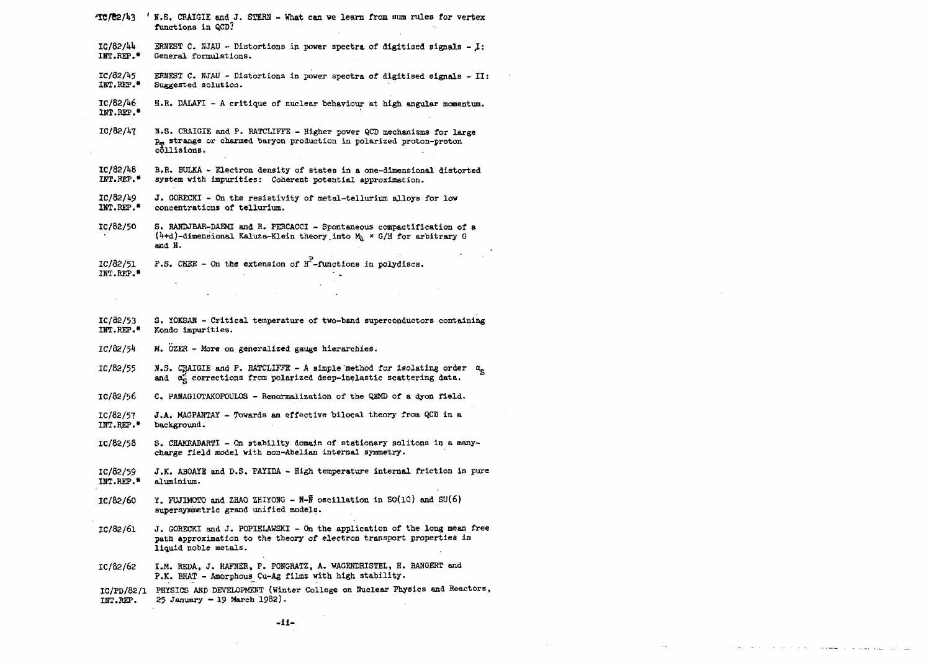| <b>TC/82/43 ' N.S. CRAIGIE and J. STERN - What can we learn from sum rules for vertex</b> |  |                   |  |  |  |  |  |  |
|-------------------------------------------------------------------------------------------|--|-------------------|--|--|--|--|--|--|
|                                                                                           |  | functions in CCD. |  |  |  |  |  |  |

IC/82/44 ERNEST C. NJAU - Distortions in power spectra of digitised signals -  $\overline{\mu}$ :<br>INT.REP.<sup>\*</sup> General formulations. General formulations.

IC/82A5 IHT.REP.\* ERNEST C. NJAU - Distortions in power spectra of digitised signals - II: Suggested solution.

ic/82/i»6 INT.REP.\* E.R. DALAFI - A critique of nuclear 'behaviour at high angular momentum.

IC/82/UT U.S. CRAIGIE and P. RATCLIFFE - Higher power QCD mechanisms for large p\_ strange or charmed taryon production in polarized proton-proton collisions.

 $IC/82/48$ INT.HEP.\* B.H. BULKA - Electron density of states in a one-aimenslonal distorted system with impurities: Coherent potential approximation.

IC/82/U9 **1ST.**HEP.\* J. GORECKI - On the resistivity of metal-tellurium alloys for low concentrations of tellurium.

P.S. CHEE - On the extension of  $F$ -functions in polydiscs. IC/82/51 INT.REP.\*  $\sim$ 

 $IC/82/53$  S. YOKSAN - Critical temperature of two-band superconductors containing INT.REP.<sup>\*</sup> Kondo impurities. Kondo impurities.

 $IC/82/54$  M. OZER - More on generalized gauge hierarchies.

 $\sim$ 

- IC/82/55 N.S. CRAIGIE and P. RATCLIFFE A simple method for isolating order  $\alpha_{\rm g}$ and  $\alpha_{\rm c}^2$  corrections from polarized deep-inelastic scattering data.
- IC/82/56 C, PAHAGIOTAKOPOULOS Renormalization of the QEMD of a dyon field.
- $IC/82/57$  J.A. MAGPANTAY Towards an effective bilocal theory from QCD in a  $INT.REF.*$  background. background.

IC/82/58 S. CHAKHABAETI - On stability domain of stationary solitons in a manycharge field model with non-Abelian internal symmetry.

IC/82/59 J.K. ABOAYE and D.S. PAYIDA - High temperature internal friction in pure 1ST.REP.\* aluminium.

- $IC/82/60$  Y. FUJIMOTO and ZHAO ZHIYONG  $N-\overline{N}$  oscillation in SO(10) and SU(6) supersymmetric grand unified models.
- IC/82/61 J. GORECEa and J. POPIELAWSKI On the application of the long mean free path approximation to the theory of electron transport properties in liquid noble metals.
- IC/82/62 I.M. REDA, J. KAFNEH, P. PONGRATZ, A. WAGENDRISTEL, H. BANGERT and P.K. BHAT - Amorphous Cu-Ag films with high stability.

IC/PD/82/I PHYSICS AHD DEVELOPMENT (Winter College on Nuclear Physios and Reactors, IHT.REP. 25 January - 19 March 1932).

IC/82/50 S. RANDJBAR-DAEMI and R. PEHCACCI - Spontaneous compactification of a (4+d)-dimensional Kaluza-Klein theory into  $M<sub>h</sub> \times G/H$  for arbitrary G and H.